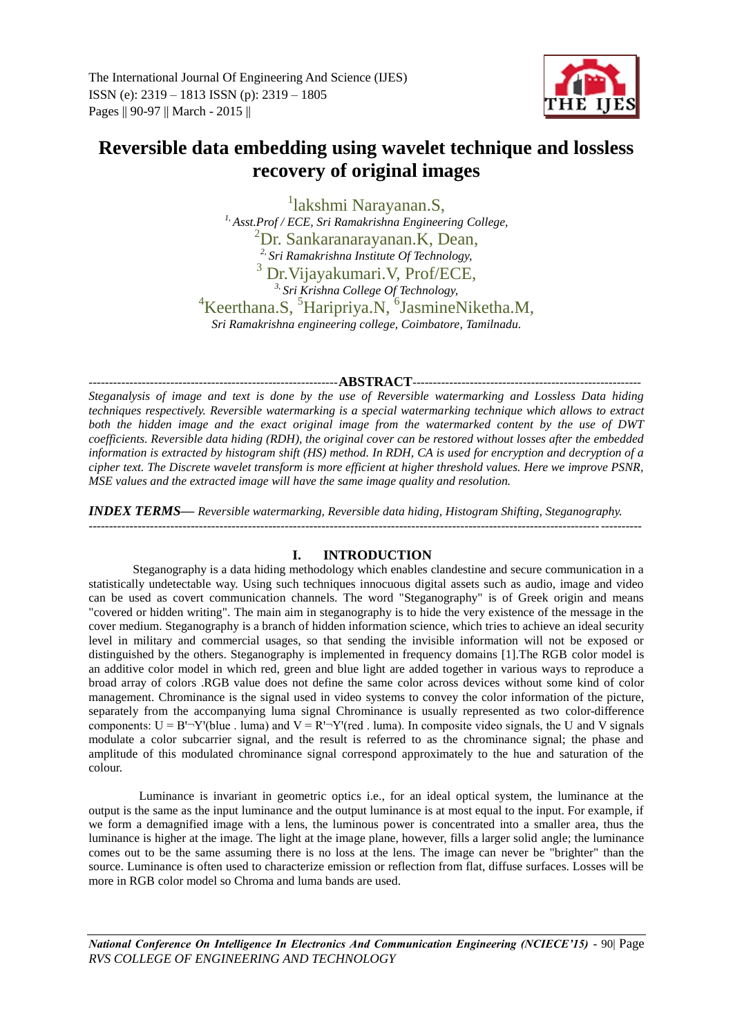The International Journal Of Engineering And Science (IJES) ISSN (e): 2319 – 1813 ISSN (p): 2319 – 1805 Pages || 90-97 || March - 2015 ||



# **Reversible data embedding using wavelet technique and lossless recovery of original images**

1 lakshmi Narayanan.S, *1, Asst.Prof / ECE, Sri Ramakrishna Engineering College,* <sup>2</sup>Dr. Sankaranarayanan.K, Dean, *2, Sri Ramakrishna Institute Of Technology,* <sup>3</sup> Dr.Vijayakumari.V, Prof/ECE, *3, Sri Krishna College Of Technology,* <sup>4</sup>Keerthana.S, <sup>5</sup>Haripriya.N, <sup>6</sup>JasmineNiketha.M, *Sri Ramakrishna engineering college, Coimbatore, Tamilnadu.*

-------------------------------------------------------------**ABSTRACT**--------------------------------------------------------

*Steganalysis of image and text is done by the use of Reversible watermarking and Lossless Data hiding techniques respectively. Reversible watermarking is a special watermarking technique which allows to extract both the hidden image and the exact original image from the watermarked content by the use of DWT coefficients. Reversible data hiding (RDH), the original cover can be restored without losses after the embedded information is extracted by histogram shift (HS) method. In RDH, CA is used for encryption and decryption of a cipher text. The Discrete wavelet transform is more efficient at higher threshold values. Here we improve PSNR, MSE values and the extracted image will have the same image quality and resolution.*

*INDEX TERMS***—** *Reversible watermarking, Reversible data hiding, Histogram Shifting, Steganography.* ---------------------------------------------------------------------------------------------------------------------------------------

# **I. INTRODUCTION**

Steganography is a data hiding methodology which enables clandestine and secure communication in a statistically undetectable way. Using such techniques innocuous digital assets such as audio, image and video can be used as covert communication channels. The word "Steganography" is of Greek origin and means "covered or hidden writing". The main aim in steganography is to hide the very existence of the message in the cover medium. Steganography is a branch of hidden information science, which tries to achieve an ideal security level in military and commercial usages, so that sending the invisible information will not be exposed or distinguished by the others. Steganography is implemented in frequency domains [1].The RGB color model is an additive color model in which red, green and blue light are added together in various ways to reproduce a broad array of colors .RGB value does not define the same color across devices without some kind of color management. Chrominance is the signal used in video systems to convey the color information of the picture, separately from the accompanying luma signal Chrominance is usually represented as two color-difference components:  $U = B<sup>1</sup>-Y<sup>t</sup>/blue$ . luma) and  $V = R<sup>1</sup>-Y<sup>t</sup>/red$ . Iuma). In composite video signals, the U and V signals modulate a color subcarrier signal, and the result is referred to as the chrominance signal; the phase and amplitude of this modulated chrominance signal correspond approximately to the hue and saturation of the colour.

Luminance is invariant in geometric optics i.e., for an ideal optical system, the luminance at the output is the same as the input luminance and the output luminance is at most equal to the input. For example, if we form a demagnified image with a lens, the luminous power is concentrated into a smaller area, thus the luminance is higher at the image. The light at the image plane, however, fills a larger solid angle; the luminance comes out to be the same assuming there is no loss at the lens. The image can never be "brighter" than the source. Luminance is often used to characterize emission or reflection from flat, diffuse surfaces. Losses will be more in RGB color model so Chroma and luma bands are used.

*National Conference On Intelligence In Electronics And Communication Engineering (NCIECE'15) -* 90| Page *RVS COLLEGE OF ENGINEERING AND TECHNOLOGY*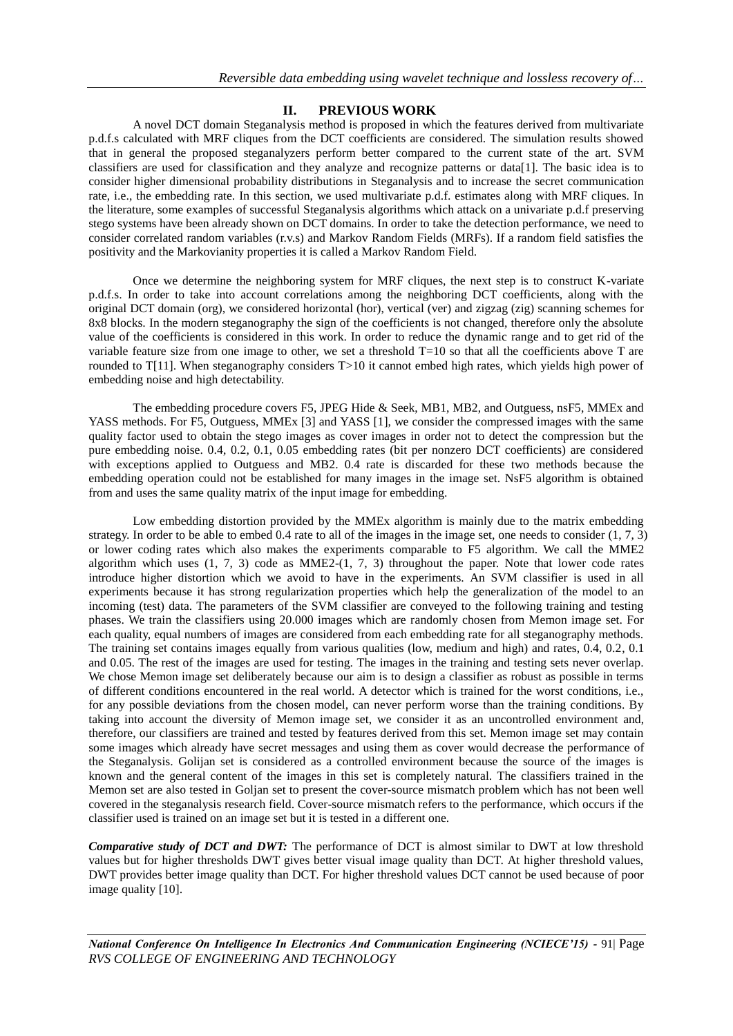# **II. PREVIOUS WORK**

A novel DCT domain Steganalysis method is proposed in which the features derived from multivariate p.d.f.s calculated with MRF cliques from the DCT coefficients are considered. The simulation results showed that in general the proposed steganalyzers perform better compared to the current state of the art. SVM classifiers are used for classification and they analyze and recognize patterns or data[1]. The basic idea is to consider higher dimensional probability distributions in Steganalysis and to increase the secret communication rate, i.e., the embedding rate. In this section, we used multivariate p.d.f. estimates along with MRF cliques. In the literature, some examples of successful Steganalysis algorithms which attack on a univariate p.d.f preserving stego systems have been already shown on DCT domains. In order to take the detection performance, we need to consider correlated random variables (r.v.s) and Markov Random Fields (MRFs). If a random field satisfies the positivity and the Markovianity properties it is called a Markov Random Field.

Once we determine the neighboring system for MRF cliques, the next step is to construct K-variate p.d.f.s. In order to take into account correlations among the neighboring DCT coefficients, along with the original DCT domain (org), we considered horizontal (hor), vertical (ver) and zigzag (zig) scanning schemes for 8x8 blocks. In the modern steganography the sign of the coefficients is not changed, therefore only the absolute value of the coefficients is considered in this work. In order to reduce the dynamic range and to get rid of the variable feature size from one image to other, we set a threshold  $T=10$  so that all the coefficients above  $T$  are rounded to T[11]. When steganography considers T>10 it cannot embed high rates, which yields high power of embedding noise and high detectability.

The embedding procedure covers F5, JPEG Hide & Seek, MB1, MB2, and Outguess, nsF5, MMEx and YASS methods. For F5, Outguess, MMEx [3] and YASS [1], we consider the compressed images with the same quality factor used to obtain the stego images as cover images in order not to detect the compression but the pure embedding noise. 0.4, 0.2, 0.1, 0.05 embedding rates (bit per nonzero DCT coefficients) are considered with exceptions applied to Outguess and MB2. 0.4 rate is discarded for these two methods because the embedding operation could not be established for many images in the image set. NsF5 algorithm is obtained from and uses the same quality matrix of the input image for embedding.

Low embedding distortion provided by the MMEx algorithm is mainly due to the matrix embedding strategy. In order to be able to embed 0.4 rate to all of the images in the image set, one needs to consider (1, 7, 3) or lower coding rates which also makes the experiments comparable to F5 algorithm. We call the MME2 algorithm which uses (1, 7, 3) code as MME2-(1, 7, 3) throughout the paper. Note that lower code rates introduce higher distortion which we avoid to have in the experiments. An SVM classifier is used in all experiments because it has strong regularization properties which help the generalization of the model to an incoming (test) data. The parameters of the SVM classifier are conveyed to the following training and testing phases. We train the classifiers using 20.000 images which are randomly chosen from Memon image set. For each quality, equal numbers of images are considered from each embedding rate for all steganography methods. The training set contains images equally from various qualities (low, medium and high) and rates, 0.4, 0.2, 0.1 and 0.05. The rest of the images are used for testing. The images in the training and testing sets never overlap. We chose Memon image set deliberately because our aim is to design a classifier as robust as possible in terms of different conditions encountered in the real world. A detector which is trained for the worst conditions, i.e., for any possible deviations from the chosen model, can never perform worse than the training conditions. By taking into account the diversity of Memon image set, we consider it as an uncontrolled environment and, therefore, our classifiers are trained and tested by features derived from this set. Memon image set may contain some images which already have secret messages and using them as cover would decrease the performance of the Steganalysis. Golijan set is considered as a controlled environment because the source of the images is known and the general content of the images in this set is completely natural. The classifiers trained in the Memon set are also tested in Goljan set to present the cover-source mismatch problem which has not been well covered in the steganalysis research field. Cover-source mismatch refers to the performance, which occurs if the classifier used is trained on an image set but it is tested in a different one.

*Comparative study of DCT and DWT:* The performance of DCT is almost similar to DWT at low threshold values but for higher thresholds DWT gives better visual image quality than DCT. At higher threshold values, DWT provides better image quality than DCT. For higher threshold values DCT cannot be used because of poor image quality [10].

*National Conference On Intelligence In Electronics And Communication Engineering (NCIECE'15) -* 91| Page *RVS COLLEGE OF ENGINEERING AND TECHNOLOGY*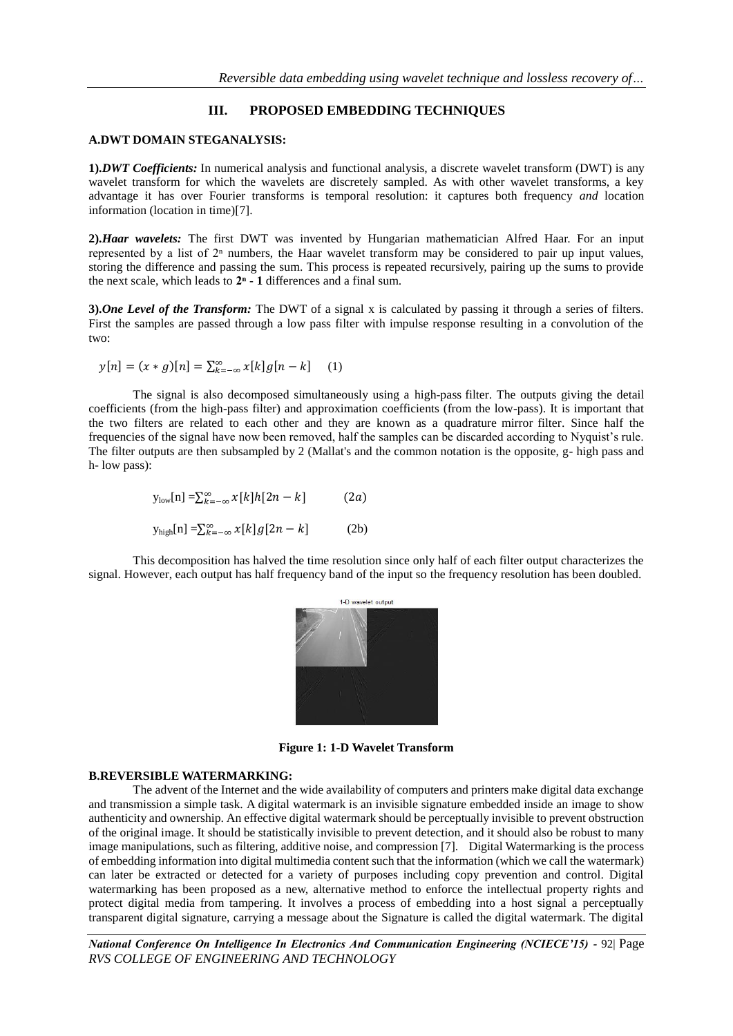# **III. PROPOSED EMBEDDING TECHNIQUES**

# **A.DWT DOMAIN STEGANALYSIS:**

**1).***DWT Coefficients:* In numerical analysis and functional analysis, a discrete wavelet transform (DWT) is any wavelet transform for which the wavelets are discretely sampled. As with other wavelet transforms, a key advantage it has over Fourier transforms is temporal resolution: it captures both frequency *and* location information (location in time)[7].

**2).***Haar wavelets:* The first DWT was invented by Hungarian mathematician Alfred Haar. For an input represented by a list of  $2<sup>n</sup>$  numbers, the Haar wavelet transform may be considered to pair up input values, storing the difference and passing the sum. This process is repeated recursively, pairing up the sums to provide the next scale, which leads to **2ⁿ - 1** differences and a final sum.

**3).***One Level of the Transform:* The DWT of a signal x is calculated by passing it through a series of filters. First the samples are passed through a low pass filter with impulse response resulting in a convolution of the two:

$$
y[n] = (x * g)[n] = \sum_{k=-\infty}^{\infty} x[k]g[n-k]
$$
 (1)

The signal is also decomposed simultaneously using a high-pass filter. The outputs giving the detail coefficients (from the high-pass filter) and approximation coefficients (from the low-pass). It is important that the two filters are related to each other and they are known as a quadrature mirror filter. Since half the frequencies of the signal have now been removed, half the samples can be discarded according to Nyquist's rule. The filter outputs are then subsampled by 2 (Mallat's and the common notation is the opposite, g- high pass and h- low pass):

$$
y_{\text{low}}[n] = \sum_{k=-\infty}^{\infty} x[k]h[2n-k] \quad (2a)
$$

$$
y_{\text{high}}[n] = \sum_{k=-\infty}^{\infty} x[k]g[2n-k] \tag{2b}
$$

This decomposition has halved the time resolution since only half of each filter output characterizes the signal. However, each output has half frequency band of the input so the frequency resolution has been doubled.



**Figure 1: 1-D Wavelet Transform**

#### **B.REVERSIBLE WATERMARKING:**

The advent of the Internet and the wide availability of computers and printers make digital data exchange and transmission a simple task. A digital watermark is an invisible signature embedded inside an image to show authenticity and ownership. An effective digital watermark should be perceptually invisible to prevent obstruction of the original image. It should be statistically invisible to prevent detection, and it should also be robust to many image manipulations, such as filtering, additive noise, and compression [7]. Digital Watermarking is the process of embedding information into digital multimedia content such that the information (which we call the watermark) can later be extracted or detected for a variety of purposes including copy prevention and control. Digital watermarking has been proposed as a new, alternative method to enforce the intellectual property rights and protect digital media from tampering. It involves a process of embedding into a host signal a perceptually transparent digital signature, carrying a message about the Signature is called the digital watermark. The digital

*National Conference On Intelligence In Electronics And Communication Engineering (NCIECE'15) -* 92| Page *RVS COLLEGE OF ENGINEERING AND TECHNOLOGY*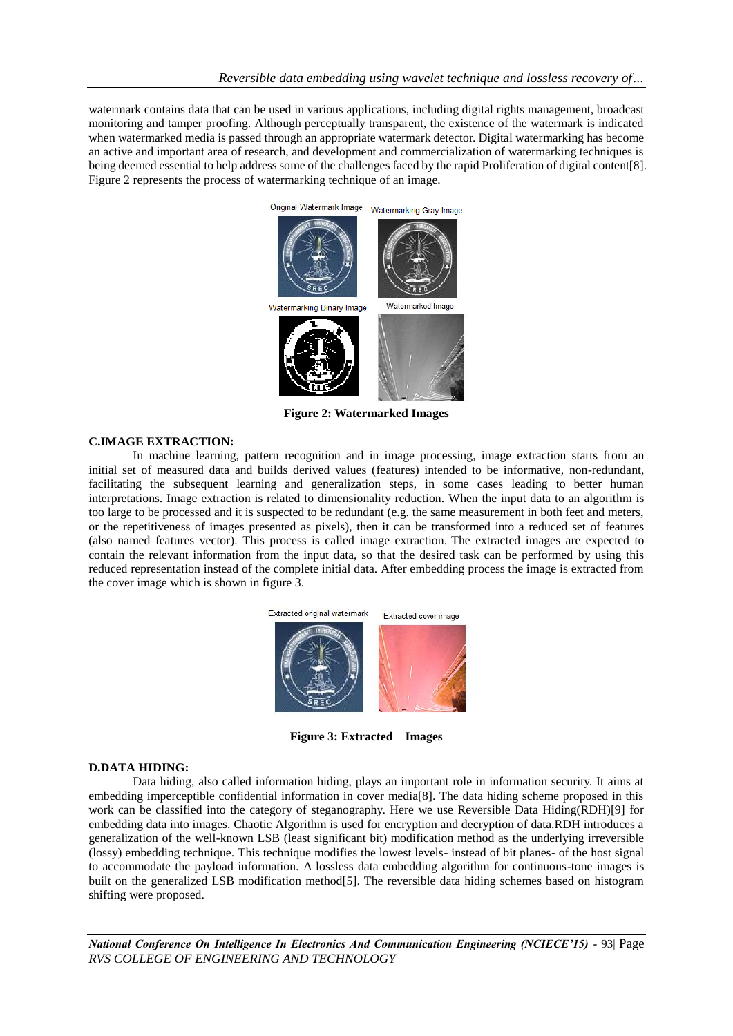watermark contains data that can be used in various applications, including digital rights management, broadcast monitoring and tamper proofing. Although perceptually transparent, the existence of the watermark is indicated when watermarked media is passed through an appropriate watermark detector. Digital watermarking has become an active and important area of research, and development and commercialization of watermarking techniques is being deemed essential to help address some of the challenges faced by the rapid Proliferation of digital content[8]. Figure 2 represents the process of watermarking technique of an image.



**Figure 2: Watermarked Images**

#### **C.IMAGE EXTRACTION:**

In machine learning, pattern recognition and in image processing, image extraction starts from an initial set of measured data and builds derived values (features) intended to be informative, non-redundant, facilitating the subsequent learning and generalization steps, in some cases leading to better human interpretations. Image extraction is related to dimensionality reduction. When the input data to an algorithm is too large to be processed and it is suspected to be redundant (e.g. the same measurement in both feet and meters, or the repetitiveness of images presented as pixels), then it can be transformed into a reduced set of features (also named features vector). This process is called image extraction. The extracted images are expected to contain the relevant information from the input data, so that the desired task can be performed by using this reduced representation instead of the complete initial data. After embedding process the image is extracted from the cover image which is shown in figure 3.



**Figure 3: Extracted Images**

#### **D.DATA HIDING:**

Data hiding, also called information hiding, plays an important role in information security. It aims at embedding imperceptible confidential information in cover media[8]. The data hiding scheme proposed in this work can be classified into the category of steganography. Here we use Reversible Data Hiding(RDH)[9] for embedding data into images. Chaotic Algorithm is used for encryption and decryption of data.RDH introduces a generalization of the well-known LSB (least significant bit) modification method as the underlying irreversible (lossy) embedding technique. This technique modifies the lowest levels- instead of bit planes- of the host signal to accommodate the payload information. A lossless data embedding algorithm for continuous-tone images is built on the generalized LSB modification method[5]. The reversible data hiding schemes based on histogram shifting were proposed.

*National Conference On Intelligence In Electronics And Communication Engineering (NCIECE'15) -* 93| Page *RVS COLLEGE OF ENGINEERING AND TECHNOLOGY*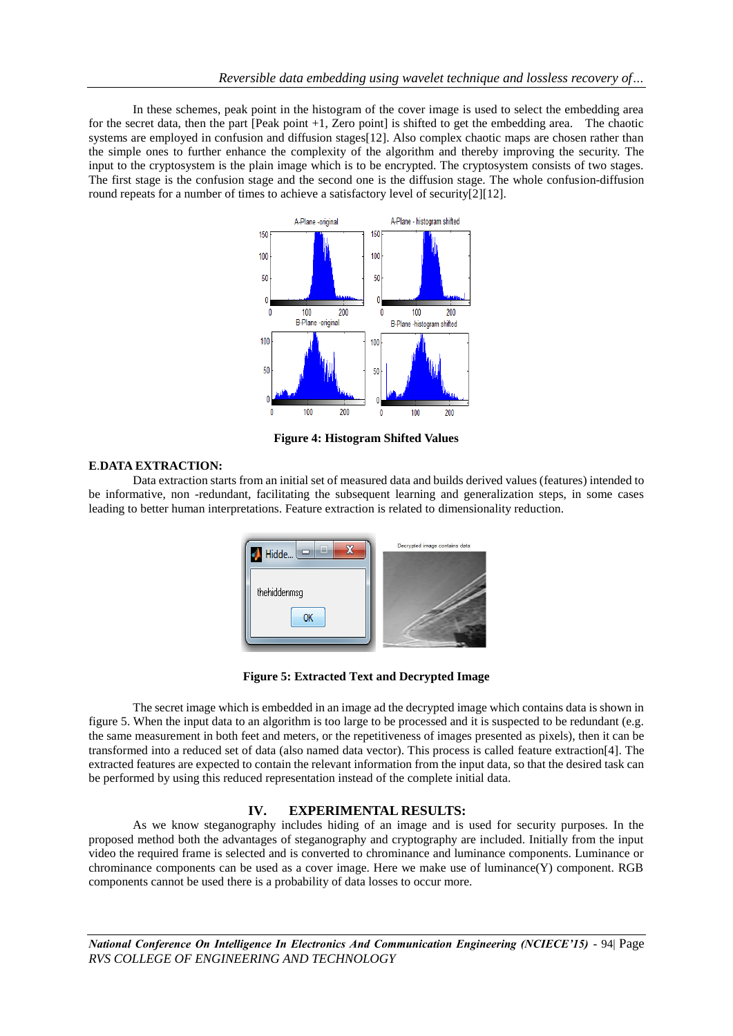In these schemes, peak point in the histogram of the cover image is used to select the embedding area for the secret data, then the part [Peak point +1, Zero point] is shifted to get the embedding area. The chaotic systems are employed in confusion and diffusion stages [12]. Also complex chaotic maps are chosen rather than the simple ones to further enhance the complexity of the algorithm and thereby improving the security. The input to the cryptosystem is the plain image which is to be encrypted. The cryptosystem consists of two stages. The first stage is the confusion stage and the second one is the diffusion stage. The whole confusion-diffusion round repeats for a number of times to achieve a satisfactory level of security[2][12].



**Figure 4: Histogram Shifted Values**

### **E**.**DATA EXTRACTION:**

Data extraction starts from an initial set of measured data and builds derived values (features) intended to be informative, non -redundant, facilitating the subsequent learning and generalization steps, in some cases leading to better human interpretations. Feature extraction is related to dimensionality reduction.





The secret image which is embedded in an image ad the decrypted image which contains data is shown in figure 5. When the input data to an algorithm is too large to be processed and it is suspected to be redundant (e.g. the same measurement in both feet and meters, or the repetitiveness of images presented as pixels), then it can be transformed into a reduced set of data (also named data vector). This process is called feature extraction[4]. The extracted features are expected to contain the relevant information from the input data, so that the desired task can be performed by using this reduced representation instead of the complete initial data.

# **IV. EXPERIMENTAL RESULTS:**

As we know steganography includes hiding of an image and is used for security purposes. In the proposed method both the advantages of steganography and cryptography are included. Initially from the input video the required frame is selected and is converted to chrominance and luminance components. Luminance or chrominance components can be used as a cover image. Here we make use of luminance(Y) component. RGB components cannot be used there is a probability of data losses to occur more.

*National Conference On Intelligence In Electronics And Communication Engineering (NCIECE'15) -* 94| Page *RVS COLLEGE OF ENGINEERING AND TECHNOLOGY*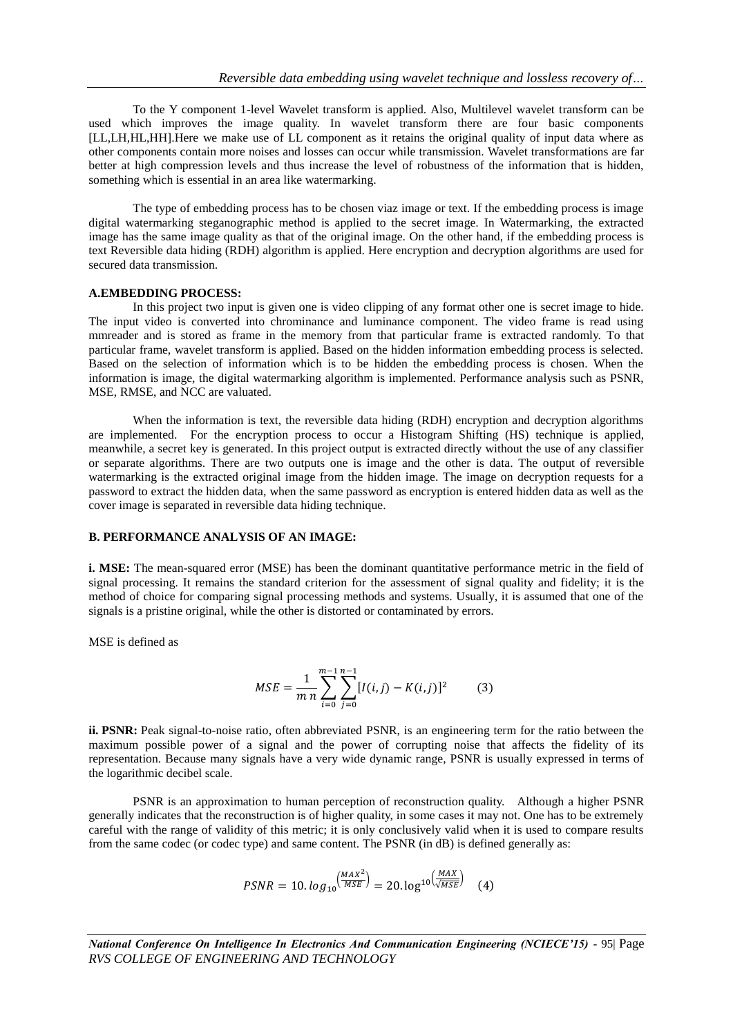To the Y component 1-level Wavelet transform is applied. Also, Multilevel wavelet transform can be used which improves the image quality. In wavelet transform there are four basic components [LL,LH,HL,HH].Here we make use of LL component as it retains the original quality of input data where as other components contain more noises and losses can occur while transmission. Wavelet transformations are far better at high compression levels and thus increase the level of robustness of the information that is hidden, something which is essential in an area like watermarking.

The type of embedding process has to be chosen viaz image or text. If the embedding process is image digital watermarking steganographic method is applied to the secret image. In Watermarking, the extracted image has the same image quality as that of the original image. On the other hand, if the embedding process is text Reversible data hiding (RDH) algorithm is applied. Here encryption and decryption algorithms are used for secured data transmission.

#### **A.EMBEDDING PROCESS:**

In this project two input is given one is video clipping of any format other one is secret image to hide. The input video is converted into chrominance and luminance component. The video frame is read using mmreader and is stored as frame in the memory from that particular frame is extracted randomly. To that particular frame, wavelet transform is applied. Based on the hidden information embedding process is selected. Based on the selection of information which is to be hidden the embedding process is chosen. When the information is image, the digital watermarking algorithm is implemented. Performance analysis such as PSNR, MSE, RMSE, and NCC are valuated.

When the information is text, the reversible data hiding (RDH) encryption and decryption algorithms are implemented. For the encryption process to occur a Histogram Shifting (HS) technique is applied, meanwhile, a secret key is generated. In this project output is extracted directly without the use of any classifier or separate algorithms. There are two outputs one is image and the other is data. The output of reversible watermarking is the extracted original image from the hidden image. The image on decryption requests for a password to extract the hidden data, when the same password as encryption is entered hidden data as well as the cover image is separated in reversible data hiding technique.

#### **B. PERFORMANCE ANALYSIS OF AN IMAGE:**

**i. MSE:** The mean-squared error (MSE) has been the dominant quantitative performance metric in the field of signal processing. It remains the standard criterion for the assessment of signal quality and fidelity; it is the method of choice for comparing signal processing methods and systems. Usually, it is assumed that one of the signals is a pristine original, while the other is distorted or contaminated by errors.

MSE is defined as

$$
MSE = \frac{1}{m} \sum_{i=0}^{m-1} \sum_{j=0}^{n-1} [I(i,j) - K(i,j)]^2
$$
 (3)

**ii. PSNR:** Peak signal-to-noise ratio, often abbreviated PSNR, is an engineering term for the ratio between the maximum possible power of a signal and the power of corrupting noise that affects the fidelity of its representation. Because many signals have a very wide dynamic range, PSNR is usually expressed in terms of the logarithmic decibel scale.

PSNR is an approximation to human perception of reconstruction quality. Although a higher PSNR generally indicates that the reconstruction is of higher quality, in some cases it may not. One has to be extremely careful with the range of validity of this metric; it is only conclusively valid when it is used to compare results from the same codec (or codec type) and same content. The PSNR (in dB) is defined generally as:

$$
PSNR = 10. \log_{10} \left( \frac{MAX^2}{MSE} \right) = 20. \log_{10} \left( \frac{MAX}{MSE} \right) \tag{4}
$$

*National Conference On Intelligence In Electronics And Communication Engineering (NCIECE'15) -* 95| Page *RVS COLLEGE OF ENGINEERING AND TECHNOLOGY*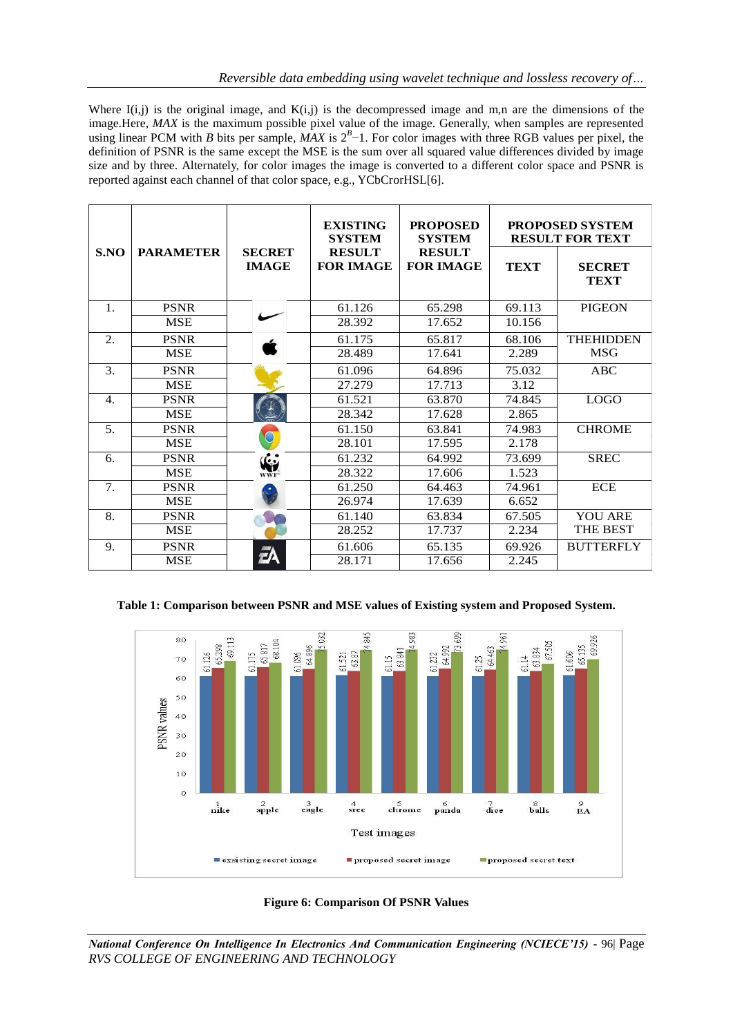Where  $I(i,j)$  is the original image, and  $K(i,j)$  is the decompressed image and m,n are the dimensions of the image.Here, *MAX* is the maximum possible pixel value of the image. Generally, when samples are represented using linear PCM with *B* bits per sample, *MAX* is  $2<sup>B</sup>$  –1. For color images with three RGB values per pixel, the definition of PSNR is the same except the MSE is the sum over all squared value differences divided by image size and by three. Alternately, for color images the image is converted to a different color space and PSNR is reported against each channel of that color space, e.g., YCbCrorHSL[6].

|                  |                  |                               | <b>EXISTING</b><br><b>SYSTEM</b>  | <b>PROPOSED</b><br><b>SYSTEM</b>  | <b>PROPOSED SYSTEM</b><br><b>RESULT FOR TEXT</b> |                              |
|------------------|------------------|-------------------------------|-----------------------------------|-----------------------------------|--------------------------------------------------|------------------------------|
| S.NO             | <b>PARAMETER</b> | <b>SECRET</b><br><b>IMAGE</b> | <b>RESULT</b><br><b>FOR IMAGE</b> | <b>RESULT</b><br><b>FOR IMAGE</b> | <b>TEXT</b>                                      | <b>SECRET</b><br><b>TEXT</b> |
| $\mathbf{1}$ .   | <b>PSNR</b>      | ╱                             | 61.126                            | 65.298                            | 69.113                                           | <b>PIGEON</b>                |
|                  | <b>MSE</b>       |                               | 28.392                            | 17.652                            | 10.156                                           |                              |
| $\overline{2}$ . | <b>PSNR</b>      |                               | 61.175                            | 65.817                            | 68.106                                           | <b>THEHIDDEN</b>             |
|                  | <b>MSE</b>       |                               | 28.489                            | 17.641                            | 2.289                                            | <b>MSG</b>                   |
| 3.               | <b>PSNR</b>      |                               | 61.096                            | 64.896                            | 75.032                                           | ABC                          |
|                  | <b>MSE</b>       |                               | 27.279                            | 17.713                            | 3.12                                             |                              |
| $\mathbf{4}$ .   | <b>PSNR</b>      |                               | 61.521                            | 63.870                            | 74.845                                           | <b>LOGO</b>                  |
|                  | <b>MSE</b>       |                               | 28.342                            | 17.628                            | 2.865                                            |                              |
| 5.               | <b>PSNR</b>      |                               | 61.150                            | 63.841                            | 74.983                                           | <b>CHROME</b>                |
|                  | <b>MSE</b>       |                               | 28.101                            | 17.595                            | 2.178                                            |                              |
| 6.               | <b>PSNR</b>      | $\mathbf{G}$                  | 61.232                            | 64.992                            | 73.699                                           | <b>SREC</b>                  |
|                  | <b>MSE</b>       |                               | 28.322                            | 17.606                            | 1.523                                            |                              |
| 7.               | <b>PSNR</b>      |                               | 61.250                            | 64.463                            | 74.961                                           | <b>ECE</b>                   |
|                  | <b>MSE</b>       |                               | 26.974                            | 17.639                            | 6.652                                            |                              |
| 8.               | <b>PSNR</b>      |                               | 61.140                            | 63.834                            | 67.505                                           | YOU ARE                      |
|                  | <b>MSE</b>       |                               | 28.252                            | 17.737                            | 2.234                                            | <b>THE BEST</b>              |
| 9.               | <b>PSNR</b>      |                               | 61.606                            | 65.135                            | 69.926                                           | <b>BUTTERFLY</b>             |
|                  | <b>MSE</b>       | ΞA                            | 28.171                            | 17.656                            | 2.245                                            |                              |

# **Table 1: Comparison between PSNR and MSE values of Existing system and Proposed System.**





*National Conference On Intelligence In Electronics And Communication Engineering (NCIECE'15) -* 96| Page *RVS COLLEGE OF ENGINEERING AND TECHNOLOGY*